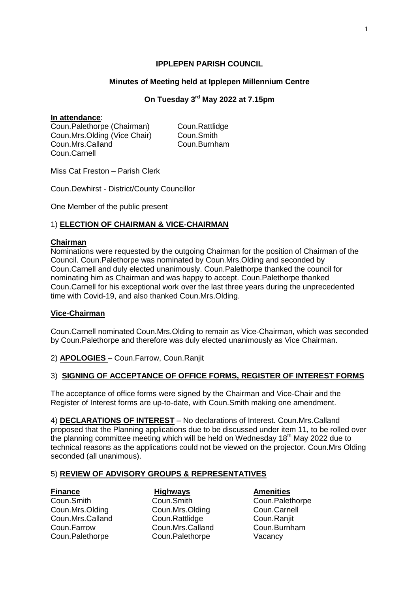# **IPPLEPEN PARISH COUNCIL**

# **Minutes of Meeting held at Ipplepen Millennium Centre**

# **On Tuesday 3 rd May 2022 at 7.15pm**

## **In attendance**:

Coun.Palethorpe (Chairman) Coun.Rattlidge Coun.Mrs.Olding (Vice Chair) Coun.Smith Coun.Mrs.Calland Coun.Burnham Coun.Carnell

Miss Cat Freston – Parish Clerk

Coun.Dewhirst - District/County Councillor

One Member of the public present

# 1) **ELECTION OF CHAIRMAN & VICE-CHAIRMAN**

## **Chairman**

Nominations were requested by the outgoing Chairman for the position of Chairman of the Council. Coun.Palethorpe was nominated by Coun.Mrs.Olding and seconded by Coun.Carnell and duly elected unanimously. Coun.Palethorpe thanked the council for nominating him as Chairman and was happy to accept. Coun.Palethorpe thanked Coun.Carnell for his exceptional work over the last three years during the unprecedented time with Covid-19, and also thanked Coun.Mrs.Olding.

# **Vice-Chairman**

Coun.Carnell nominated Coun.Mrs.Olding to remain as Vice-Chairman, which was seconded by Coun.Palethorpe and therefore was duly elected unanimously as Vice Chairman.

2) **APOLOGIES** – Coun.Farrow, Coun.Ranjit

## 3) **SIGNING OF ACCEPTANCE OF OFFICE FORMS, REGISTER OF INTEREST FORMS**

The acceptance of office forms were signed by the Chairman and Vice-Chair and the Register of Interest forms are up-to-date, with Coun.Smith making one amendment.

4) **DECLARATIONS OF INTEREST** – No declarations of Interest. Coun.Mrs.Calland proposed that the Planning applications due to be discussed under item 11, to be rolled over the planning committee meeting which will be held on Wednesday 18<sup>th</sup> May 2022 due to technical reasons as the applications could not be viewed on the projector. Coun.Mrs Olding seconded (all unanimous).

## 5) **REVIEW OF ADVISORY GROUPS & REPRESENTATIVES**

Coun.Smith Coun.Smith Coun.Palethorpe Coun.Mrs.Olding Coun.Mrs.Olding Coun.Carnell Coun.Mrs.Calland Coun.Rattlidge Coun.Raniit Coun.Farrow Coun.Mrs.Calland Coun.Burnham Coun.Palethorpe Coun.Palethorpe Vacancy

**Finance Highways Amenities**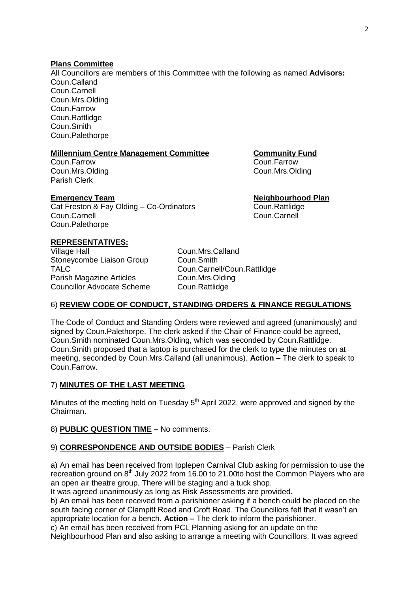## **Plans Committee**

All Councillors are members of this Committee with the following as named **Advisors:** Coun.Calland Coun.Carnell Coun.Mrs.Olding Coun.Farrow Coun.Rattlidge Coun.Smith Coun.Palethorpe

# **Millennium Centre Management Committee Community Fund**

Coun.Farrow Coun.Farrow Coun.Mrs.Olding Coun.Mrs.Olding Parish Clerk

## **Emergency Team Neighbourhood Plan**

Cat Freston & Fay Olding – Co-Ordinators Coun.Rattlidge Coun.Carnell Coun.Carnell Coun.Palethorpe

# **REPRESENTATIVES:**

Village Hall **Coun.Mrs.Calland** Stoneycombe Liaison Group Coun.Smith TALC Coun.Carnell/Coun.Rattlidge Parish Magazine Articles Coun.Mrs.Olding Councillor Advocate Scheme Coun.Rattlidge

# 6) **REVIEW CODE OF CONDUCT, STANDING ORDERS & FINANCE REGULATIONS**

The Code of Conduct and Standing Orders were reviewed and agreed (unanimously) and signed by Coun.Palethorpe. The clerk asked if the Chair of Finance could be agreed, Coun.Smith nominated Coun.Mrs.Olding, which was seconded by Coun.Rattlidge. Coun.Smith proposed that a laptop is purchased for the clerk to type the minutes on at meeting, seconded by Coun.Mrs.Calland (all unanimous). **Action –** The clerk to speak to Coun.Farrow.

# 7) **MINUTES OF THE LAST MEETING**

Minutes of the meeting held on Tuesday  $5<sup>th</sup>$  April 2022, were approved and signed by the Chairman.

## 8) **PUBLIC QUESTION TIME** – No comments.

## 9) **CORRESPONDENCE AND OUTSIDE BODIES** – Parish Clerk

a) An email has been received from Ipplepen Carnival Club asking for permission to use the recreation ground on 8<sup>th</sup> July 2022 from 16.00 to 21.00to host the Common Players who are an open air theatre group. There will be staging and a tuck shop.

It was agreed unanimously as long as Risk Assessments are provided.

b) An email has been received from a parishioner asking if a bench could be placed on the south facing corner of Clampitt Road and Croft Road. The Councillors felt that it wasn't an appropriate location for a bench. **Action –** The clerk to inform the parishioner.

c) An email has been received from PCL Planning asking for an update on the

Neighbourhood Plan and also asking to arrange a meeting with Councillors. It was agreed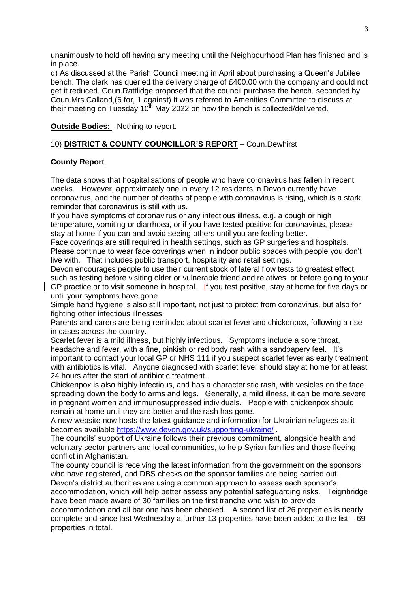unanimously to hold off having any meeting until the Neighbourhood Plan has finished and is in place.

d) As discussed at the Parish Council meeting in April about purchasing a Queen's Jubilee bench. The clerk has queried the delivery charge of £400.00 with the company and could not get it reduced. Coun.Rattlidge proposed that the council purchase the bench, seconded by Coun.Mrs.Calland,(6 for, 1 against) It was referred to Amenities Committee to discuss at their meeting on Tuesday  $10<sup>th</sup>$  May 2022 on how the bench is collected/delivered.

# **Outside Bodies:** - Nothing to report.

# 10) **DISTRICT & COUNTY COUNCILLOR'S REPORT** – Coun.Dewhirst

# **County Report**

The data shows that hospitalisations of people who have coronavirus has fallen in recent weeks. However, approximately one in every 12 residents in Devon currently have coronavirus, and the number of deaths of people with coronavirus is rising, which is a stark reminder that coronavirus is still with us.

If you have symptoms of coronavirus or any infectious illness, e.g. a cough or high temperature, vomiting or diarrhoea, or if you have tested positive for coronavirus, please stay at home if you can and avoid seeing others until you are feeling better.

Face coverings are still required in health settings, such as GP surgeries and hospitals. Please continue to wear face coverings when in indoor public spaces with people you don't live with. That includes public transport, hospitality and retail settings.

Devon encourages people to use their current stock of lateral flow tests to greatest effect, such as testing before visiting older or vulnerable friend and relatives, or before going to your

GP practice or to visit someone in hospital. If you test positive, stay at home for five days or until your symptoms have gone.

Simple hand hygiene is also still important, not just to protect from coronavirus, but also for fighting other infectious illnesses.

Parents and carers are being reminded about scarlet fever and chickenpox, following a rise in cases across the country.

Scarlet fever is a mild illness, but highly infectious. Symptoms include a sore throat, headache and fever, with a fine, pinkish or red body rash with a sandpapery feel. It's important to contact your local GP or NHS 111 if you suspect scarlet fever as early treatment with antibiotics is vital. Anyone diagnosed with scarlet fever should stay at home for at least 24 hours after the start of antibiotic treatment.

Chickenpox is also highly infectious, and has a characteristic rash, with vesicles on the face, spreading down the body to arms and legs. Generally, a mild illness, it can be more severe in pregnant women and immunosuppressed individuals. People with chickenpox should remain at home until they are better and the rash has gone.

A new website now hosts the latest guidance and information for Ukrainian refugees as it becomes available<https://www.devon.gov.uk/supporting-ukraine/> .

The councils' support of Ukraine follows their previous commitment, alongside health and voluntary sector partners and local communities, to help Syrian families and those fleeing conflict in Afghanistan.

The county council is receiving the latest information from the government on the sponsors who have registered, and DBS checks on the sponsor families are being carried out.

Devon's district authorities are using a common approach to assess each sponsor's accommodation, which will help better assess any potential safeguarding risks. Teignbridge have been made aware of 30 families on the first tranche who wish to provide

accommodation and all bar one has been checked. A second list of 26 properties is nearly complete and since last Wednesday a further 13 properties have been added to the list – 69 properties in total.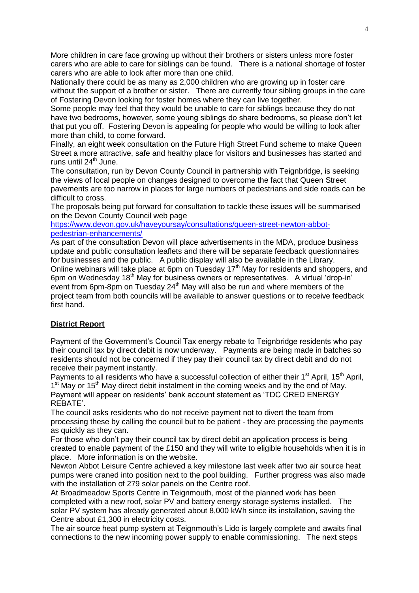More children in care face growing up without their brothers or sisters unless more foster carers who are able to care for siblings can be found. There is a national shortage of foster carers who are able to look after more than one child.

Nationally there could be as many as 2,000 children who are growing up in foster care without the support of a brother or sister. There are currently four sibling groups in the care of Fostering Devon looking for foster homes where they can live together.

Some people may feel that they would be unable to care for siblings because they do not have two bedrooms, however, some young siblings do share bedrooms, so please don't let that put you off. Fostering Devon is appealing for people who would be willing to look after more than child, to come forward.

Finally, an eight week consultation on the Future High Street Fund scheme to make Queen Street a more attractive, safe and healthy place for visitors and businesses has started and runs until 24<sup>th</sup> June.

The consultation, run by Devon County Council in partnership with Teignbridge, is seeking the views of local people on changes designed to overcome the fact that Queen Street pavements are too narrow in places for large numbers of pedestrians and side roads can be difficult to cross.

The proposals being put forward for consultation to tackle these issues will be summarised on the Devon County Council web page

[https://www.devon.gov.uk/haveyoursay/consultations/queen-street-newton-abbot](https://www.devon.gov.uk/haveyoursay/consultations/queen-street-newton-abbot-pedestrian-enhancements/)[pedestrian-enhancements/](https://www.devon.gov.uk/haveyoursay/consultations/queen-street-newton-abbot-pedestrian-enhancements/)

As part of the consultation Devon will place advertisements in the MDA, produce business update and public consultation leaflets and there will be separate feedback questionnaires for businesses and the public. A public display will also be available in the Library. Online webinars will take place at 6pm on Tuesday 17<sup>th</sup> May for residents and shoppers, and 6pm on Wednesday 18th May for business owners or representatives. A virtual 'drop-in' event from 6pm-8pm on Tuesday  $24<sup>th</sup>$  May will also be run and where members of the project team from both councils will be available to answer questions or to receive feedback first hand.

# **District Report**

Payment of the Government's Council Tax energy rebate to Teignbridge residents who pay their council tax by direct debit is now underway. Payments are being made in batches so residents should not be concerned if they pay their council tax by direct debit and do not receive their payment instantly.

Payments to all residents who have a successful collection of either their  $1<sup>st</sup>$  April,  $15<sup>th</sup>$  April, 1<sup>st</sup> May or 15<sup>th</sup> May direct debit instalment in the coming weeks and by the end of May. Payment will appear on residents' bank account statement as 'TDC CRED ENERGY REBATE'.

The council asks residents who do not receive payment not to divert the team from processing these by calling the council but to be patient - they are processing the payments as quickly as they can.

For those who don't pay their council tax by direct debit an application process is being created to enable payment of the £150 and they will write to eligible households when it is in place. More information is on the website.

Newton Abbot Leisure Centre achieved a key milestone last week after two air source heat pumps were craned into position next to the pool building. Further progress was also made with the installation of 279 solar panels on the Centre roof.

At Broadmeadow Sports Centre in Teignmouth, most of the planned work has been completed with a new roof, solar PV and battery energy storage systems installed. The solar PV system has already generated about 8,000 kWh since its installation, saving the Centre about £1,300 in electricity costs.

The air source heat pump system at Teignmouth's Lido is largely complete and awaits final connections to the new incoming power supply to enable commissioning. The next steps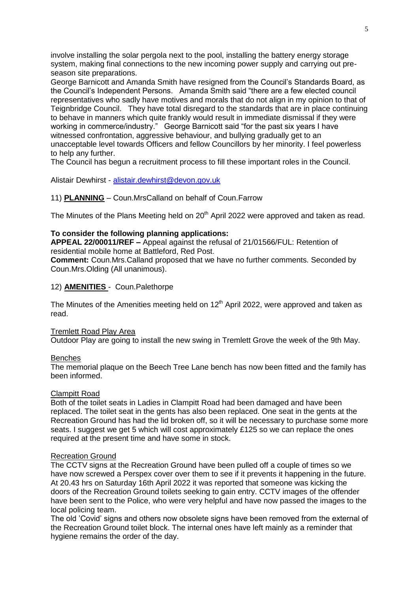involve installing the solar pergola next to the pool, installing the battery energy storage system, making final connections to the new incoming power supply and carrying out preseason site preparations.

George Barnicott and Amanda Smith have resigned from the Council's Standards Board, as the Council's Independent Persons. Amanda Smith said "there are a few elected council representatives who sadly have motives and morals that do not align in my opinion to that of Teignbridge Council. They have total disregard to the standards that are in place continuing to behave in manners which quite frankly would result in immediate dismissal if they were working in commerce/industry." George Barnicott said "for the past six years I have witnessed confrontation, aggressive behaviour, and bullying gradually get to an unacceptable level towards Officers and fellow Councillors by her minority. I feel powerless to help any further.

The Council has begun a recruitment process to fill these important roles in the Council.

Alistair Dewhirst - [alistair.dewhirst@devon.gov.uk](mailto:alistair.dewhirst@devon.gov.uk)

# 11) **PLANNING** – Coun.MrsCalland on behalf of Coun.Farrow

The Minutes of the Plans Meeting held on 20<sup>th</sup> April 2022 were approved and taken as read.

## **To consider the following planning applications:**

**APPEAL 22/00011/REF –** Appeal against the refusal of 21/01566/FUL: Retention of residential mobile home at Battleford, Red Post.

**Comment:** Coun.Mrs.Calland proposed that we have no further comments. Seconded by Coun.Mrs.Olding (All unanimous).

# 12) **AMENITIES** - Coun.Palethorpe

The Minutes of the Amenities meeting held on  $12<sup>th</sup>$  April 2022, were approved and taken as read.

## Tremlett Road Play Area

Outdoor Play are going to install the new swing in Tremlett Grove the week of the 9th May.

## Benches

The memorial plaque on the Beech Tree Lane bench has now been fitted and the family has been informed.

## Clampitt Road

Both of the toilet seats in Ladies in Clampitt Road had been damaged and have been replaced. The toilet seat in the gents has also been replaced. One seat in the gents at the Recreation Ground has had the lid broken off, so it will be necessary to purchase some more seats. I suggest we get 5 which will cost approximately £125 so we can replace the ones required at the present time and have some in stock.

## Recreation Ground

The CCTV signs at the Recreation Ground have been pulled off a couple of times so we have now screwed a Perspex cover over them to see if it prevents it happening in the future. At 20.43 hrs on Saturday 16th April 2022 it was reported that someone was kicking the doors of the Recreation Ground toilets seeking to gain entry. CCTV images of the offender have been sent to the Police, who were very helpful and have now passed the images to the local policing team.

The old 'Covid' signs and others now obsolete signs have been removed from the external of the Recreation Ground toilet block. The internal ones have left mainly as a reminder that hygiene remains the order of the day.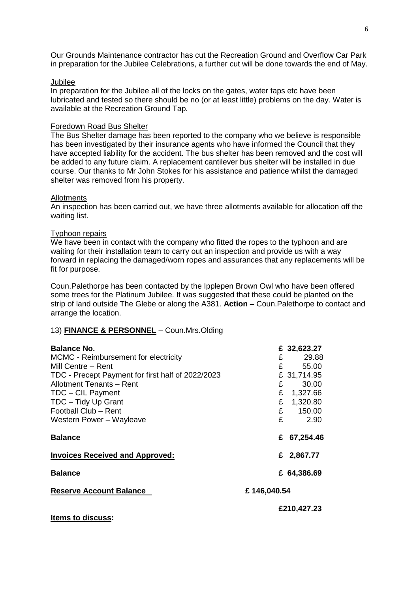Our Grounds Maintenance contractor has cut the Recreation Ground and Overflow Car Park in preparation for the Jubilee Celebrations, a further cut will be done towards the end of May.

#### Jubilee

In preparation for the Jubilee all of the locks on the gates, water taps etc have been lubricated and tested so there should be no (or at least little) problems on the day. Water is available at the Recreation Ground Tap.

#### Foredown Road Bus Shelter

The Bus Shelter damage has been reported to the company who we believe is responsible has been investigated by their insurance agents who have informed the Council that they have accepted liability for the accident. The bus shelter has been removed and the cost will be added to any future claim. A replacement cantilever bus shelter will be installed in due course. Our thanks to Mr John Stokes for his assistance and patience whilst the damaged shelter was removed from his property.

#### Allotments

An inspection has been carried out, we have three allotments available for allocation off the waiting list.

## Typhoon repairs

We have been in contact with the company who fitted the ropes to the typhoon and are waiting for their installation team to carry out an inspection and provide us with a way forward in replacing the damaged/worn ropes and assurances that any replacements will be fit for purpose.

Coun.Palethorpe has been contacted by the Ipplepen Brown Owl who have been offered some trees for the Platinum Jubilee. It was suggested that these could be planted on the strip of land outside The Glebe or along the A381. **Action –** Coun.Palethorpe to contact and arrange the location.

## 13) **FINANCE & PERSONNEL** – Coun.Mrs.Olding

| <b>Balance No.</b>                                |             | £ 32,623.27 |
|---------------------------------------------------|-------------|-------------|
| MCMC - Reimbursement for electricity              | £           | 29.88       |
| Mill Centre – Rent                                |             | E<br>55.00  |
| TDC - Precept Payment for first half of 2022/2023 |             | £ 31,714.95 |
| Allotment Tenants - Rent                          | £           | 30.00       |
| TDC - CIL Payment                                 | £           | 1,327.66    |
| TDC - Tidy Up Grant                               | £           | 1,320.80    |
| Football Club - Rent                              |             | E<br>150.00 |
| Western Power - Wayleave                          | £           | 2.90        |
| <b>Balance</b>                                    | £           | 67,254.46   |
| <b>Invoices Received and Approved:</b>            |             | £ 2,867.77  |
| <b>Balance</b>                                    |             | £ 64,386.69 |
| <b>Reserve Account Balance</b>                    | £146,040.54 |             |
| <b>Items to discuss:</b>                          |             | £210,427.23 |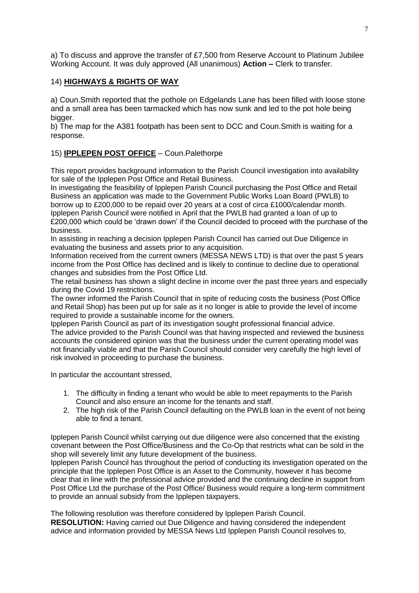a) To discuss and approve the transfer of £7,500 from Reserve Account to Platinum Jubilee Working Account. It was duly approved (All unanimous) **Action –** Clerk to transfer.

## 14) **HIGHWAYS & RIGHTS OF WAY**

a) Coun.Smith reported that the pothole on Edgelands Lane has been filled with loose stone and a small area has been tarmacked which has now sunk and led to the pot hole being bigger.

b) The map for the A381 footpath has been sent to DCC and Coun.Smith is waiting for a response.

# 15) **IPPLEPEN POST OFFICE** – Coun.Palethorpe

This report provides background information to the Parish Council investigation into availability for sale of the Ipplepen Post Office and Retail Business.

In investigating the feasibility of Ipplepen Parish Council purchasing the Post Office and Retail Business an application was made to the Government Public Works Loan Board (PWLB) to borrow up to £200,000 to be repaid over 20 years at a cost of circa £1000/calendar month. Ipplepen Parish Council were notified in April that the PWLB had granted a loan of up to £200,000 which could be 'drawn down' if the Council decided to proceed with the purchase of the business.

In assisting in reaching a decision Ipplepen Parish Council has carried out Due Diligence in evaluating the business and assets prior to any acquisition.

Information received from the current owners (MESSA NEWS LTD) is that over the past 5 years income from the Post Office has declined and is likely to continue to decline due to operational changes and subsidies from the Post Office Ltd.

The retail business has shown a slight decline in income over the past three years and especially during the Covid 19 restrictions.

The owner informed the Parish Council that in spite of reducing costs the business (Post Office and Retail Shop) has been put up for sale as it no longer is able to provide the level of income required to provide a sustainable income for the owners.

Ipplepen Parish Council as part of its investigation sought professional financial advice. The advice provided to the Parish Council was that having inspected and reviewed the business accounts the considered opinion was that the business under the current operating model was not financially viable and that the Parish Council should consider very carefully the high level of risk involved in proceeding to purchase the business.

In particular the accountant stressed,

- 1. The difficulty in finding a tenant who would be able to meet repayments to the Parish Council and also ensure an income for the tenants and staff.
- 2. The high risk of the Parish Council defaulting on the PWLB loan in the event of not being able to find a tenant.

Ipplepen Parish Council whilst carrying out due diligence were also concerned that the existing covenant between the Post Office/Business and the Co-Op that restricts what can be sold in the shop will severely limit any future development of the business.

Ipplepen Parish Council has throughout the period of conducting its investigation operated on the principle that the Ipplepen Post Office is an Asset to the Community, however it has become clear that in line with the professional advice provided and the continuing decline in support from Post Office Ltd the purchase of the Post Office/ Business would require a long-term commitment to provide an annual subsidy from the Ipplepen taxpayers.

The following resolution was therefore considered by Ipplepen Parish Council. **RESOLUTION:** Having carried out Due Diligence and having considered the independent advice and information provided by MESSA News Ltd Ipplepen Parish Council resolves to,